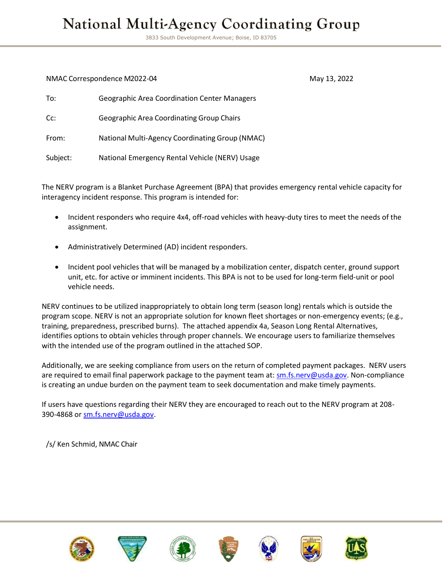# **National Multi-Agency Coordinating Group**

3833 South Development Avenue; Boise, ID 83705

#### NMAC Correspondence M2022-04 May 13, 2022

| To:      | <b>Geographic Area Coordination Center Managers</b> |
|----------|-----------------------------------------------------|
| Cc:      | <b>Geographic Area Coordinating Group Chairs</b>    |
| From:    | National Multi-Agency Coordinating Group (NMAC)     |
| Subject: | National Emergency Rental Vehicle (NERV) Usage      |

The NERV program is a Blanket Purchase Agreement (BPA) that provides emergency rental vehicle capacity for interagency incident response. This program is intended for:

- Incident responders who require 4x4, off-road vehicles with heavy-duty tires to meet the needs of the assignment.
- Administratively Determined (AD) incident responders.
- Incident pool vehicles that will be managed by a mobilization center, dispatch center, ground support unit, etc. for active or imminent incidents. This BPA is not to be used for long-term field-unit or pool vehicle needs.

NERV continues to be utilized inappropriately to obtain long term (season long) rentals which is outside the program scope. NERV is not an appropriate solution for known fleet shortages or non-emergency events; (e.g., training, preparedness, prescribed burns). The attached appendix 4a, Season Long Rental Alternatives, identifies options to obtain vehicles through proper channels. We encourage users to familiarize themselves with the intended use of the program outlined in the attached SOP.

Additionally, we are seeking compliance from users on the return of completed payment packages. NERV users are required to email final paperwork package to the payment team at: [sm.fs.nerv@usda.gov.](mailto:sm.fs.nerv@usda.gov) Non-compliance is creating an undue burden on the payment team to seek documentation and make timely payments.

If users have questions regarding their NERV they are encouraged to reach out to the NERV program at 208- 390-4868 or [sm.fs.nerv@usda.gov.](mailto:sm.fs.nerv@usda.gov)

/s/ Ken Schmid, NMAC Chair













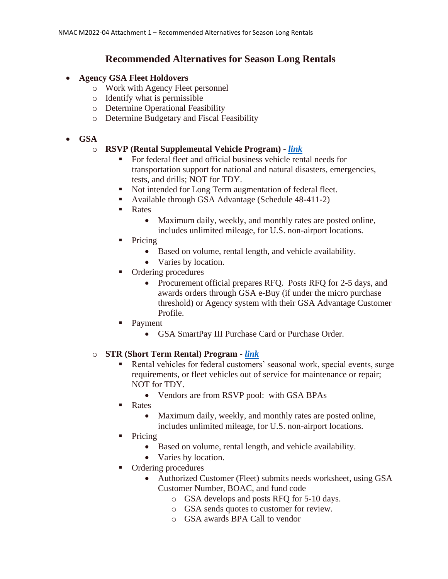# **Recommended Alternatives for Season Long Rentals**

#### • **Agency GSA Fleet Holdovers**

- o Work with Agency Fleet personnel
- o Identify what is permissible
- o Determine Operational Feasibility
- o Determine Budgetary and Fiscal Feasibility

### • **GSA**

#### o **RSVP (Rental Supplemental Vehicle Program) -** *[link](https://www.gsa.gov/buying-selling/products-services/transportation-logistics-services/transportation/transportation-and-delivery-schedule-48/rental-supplemental-vehicles-program-rsvp)*

- For federal fleet and official business vehicle rental needs for transportation support for national and natural disasters, emergencies, tests, and drills; NOT for TDY.
- Not intended for Long Term augmentation of federal fleet.
	- Available through GSA Advantage (Schedule 48-411-2)
	- **Rates** 
		- Maximum daily, weekly, and monthly rates are posted online, includes unlimited mileage, for U.S. non-airport locations.
- Pricing
	- Based on volume, rental length, and vehicle availability.
	- Varies by location.
- Ordering procedures
	- Procurement official prepares RFQ. Posts RFQ for 2-5 days, and awards orders through GSA e-Buy (if under the micro purchase threshold) or Agency system with their GSA Advantage Customer Profile.
	- **Payment** 
		- GSA SmartPay III Purchase Card or Purchase Order.

#### o **STR (Short Term Rental) Program -** *[link](https://www.gsa.gov/buying-selling/products-services/transportation-logistics-services/fleet-management/shortterm-rentals-str)*

- Rental vehicles for federal customers' seasonal work, special events, surge requirements, or fleet vehicles out of service for maintenance or repair; NOT for TDY.
	- Vendors are from RSVP pool: with GSA BPAs
- Rates
	- Maximum daily, weekly, and monthly rates are posted online, includes unlimited mileage, for U.S. non-airport locations.
- **Pricing** 
	- Based on volume, rental length, and vehicle availability.
	- Varies by location.
- Ordering procedures
	- Authorized Customer (Fleet) submits needs worksheet, using GSA Customer Number, BOAC, and fund code
		- o GSA develops and posts RFQ for 5-10 days.
		- o GSA sends quotes to customer for review.
		- o GSA awards BPA Call to vendor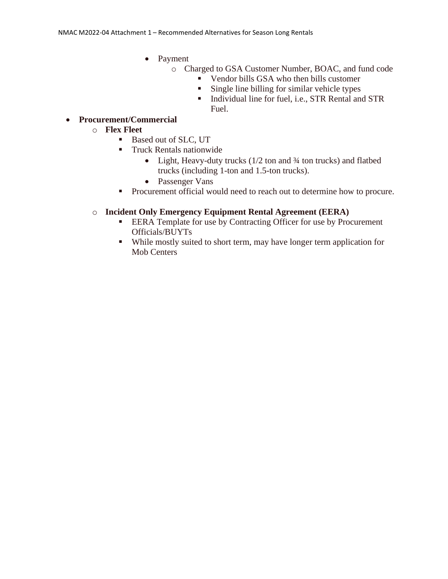- Payment
	- o Charged to GSA Customer Number, BOAC, and fund code
		- Vendor bills GSA who then bills customer
			- Single line billing for similar vehicle types
			- **Individual line for fuel, i.e., STR Rental and STR** Fuel.
- **Procurement/Commercial** 
	- o **Flex Fleet**
		- Based out of SLC, UT
		- **Truck Rentals nationwide** 
			- Light, Heavy-duty trucks (1/2 ton and 3/4 ton trucks) and flatbed trucks (including 1-ton and 1.5-ton trucks).
			- Passenger Vans
		- Procurement official would need to reach out to determine how to procure.

## o **Incident Only Emergency Equipment Rental Agreement (EERA)**

- **EERA Template for use by Contracting Officer for use by Procurement** Officials/BUYTs
- While mostly suited to short term, may have longer term application for Mob Centers